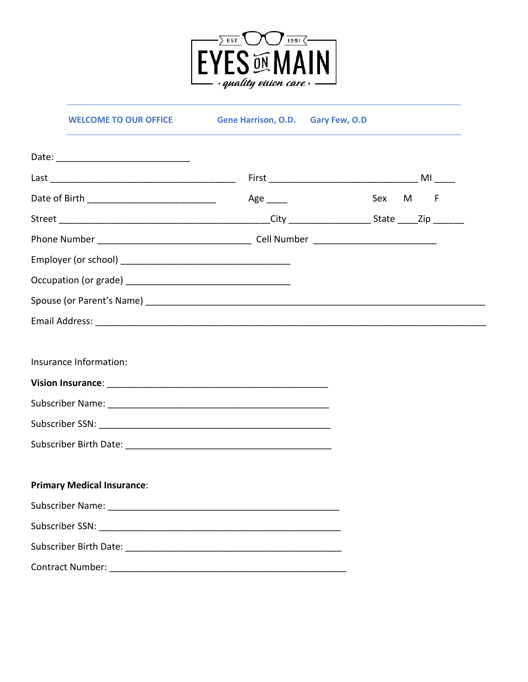

**WELCOME TO OUR OFFICE** 

Gene Harrison, O.D. Gary Few, O.D

|                                   | Age $\_\_$ | Sex M F |
|-----------------------------------|------------|---------|
|                                   |            |         |
|                                   |            |         |
|                                   |            |         |
|                                   |            |         |
|                                   |            |         |
|                                   |            |         |
|                                   |            |         |
| Insurance Information:            |            |         |
|                                   |            |         |
|                                   |            |         |
|                                   |            |         |
|                                   |            |         |
|                                   |            |         |
| <b>Primary Medical Insurance:</b> |            |         |
|                                   |            |         |
|                                   |            |         |
|                                   |            |         |
|                                   |            |         |